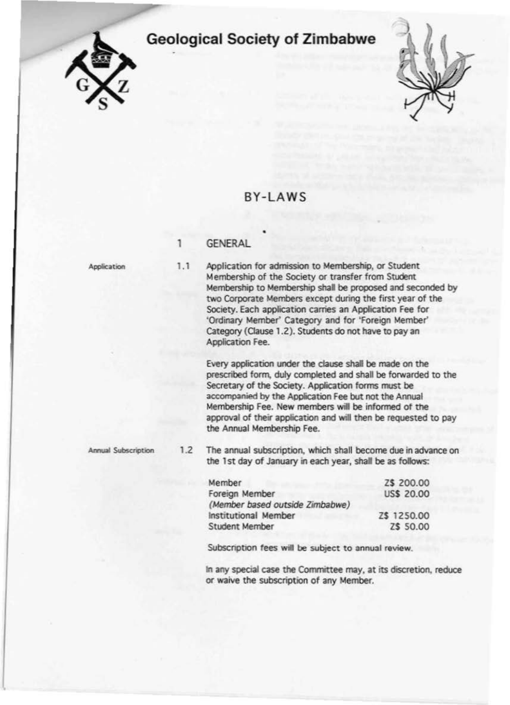# **Geological Society of Zimbabwe**





## BY- LAWS

•

### Application

## 1 GENERAL

1.1 Application for admission to Membership, or Student Membership of the Society or transfer from Student Membership to Membership **shal** be proposed and seconded by two Corporate Members except during the first year of the Society. Each application carries an Application Fee for 'Ordinary Member' Gategory and for 'Foreign Member' Category (Clause 1.2). Students do not have to pay an Application Fee.

> Every application under the clause shall be made on the prescribed form, duly completed and shall be forwarded to the Secretary of the Society. Application forms must be accompanied by the Application Fee but not the Annual Membership Fee. New members will be informed of the approval of their application and will then be requested to pay the Annual Membership Fee.

Annual Subscription

1.2 The annual subscription. which shall become due in advance on the 1st day of January in each year, shall be as follows:

| Z\$ 200.00        |
|-------------------|
| <b>US\$ 20.00</b> |
|                   |
| Z\$ 1250.00       |
| Z\$ 50.00         |
|                   |

Subscription fees will be subject to annual review.

In any special case the Committee may, at its discretion. reduce or waive the subscription of any Member.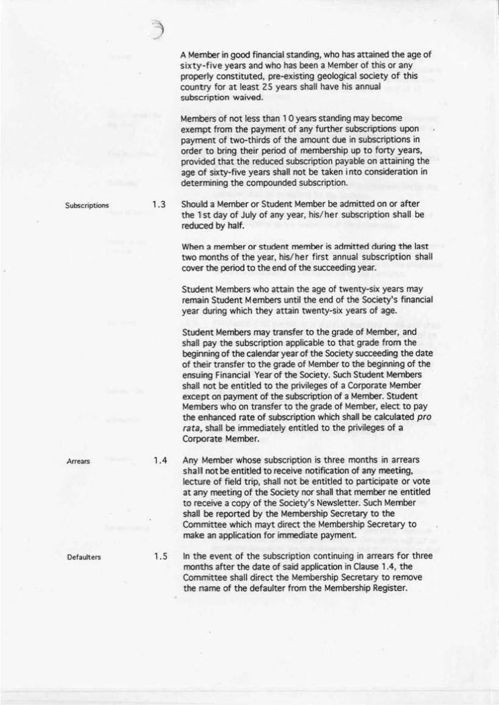A Member in good financial standing, who has attained the age of sixty-five years and who has been a Member of this or any properly constituted, pre-existing geological society of this country for at least 25 years shall have his annual subscription waived.

Members of not less than 1 0 years standing may become exempt from the payment of any further subscriptions upon payment of two-thirds of the amount due in subscriptions in order to bring their period of membership up to forty years, provided that the reduced subscription payable on attaining the age of sixty-five years shall not be taken into consideration in determining the compounded subscription.

1.3 Should a Member or Student Member be admitted on or after the 1st day of July of any year, his/her subscription shall be reduced by half.

> When a member or student member is admitted during the last two months of the year, his/her first annual subscription shall cover the period to the end of the succeeding year.

> Student Members who attain the age of twenty-six years may remain Student Members until the end of the Society's financial year during which they attain twenty-six years of age.

> Student Members may transfer to the grade of Member, and shall pay the subscription applicable to that grade from the beginning of the calendar year of the Society succeeding the date of their transfer to the grade of Member to the beginning of the ensuing Financial Year of the Society. Such Student Members shall not be entitled to the privileges of a Corporate Member except on payment of the subscription of a Member. Student Members who on transfer to the grade of Member, elect to pay the enhanced rate of subscription which shall be calculated pro *rata,* shall be immediately entitled to the privileges of a Corporate Member.

1.4 Any Member whose subscription is three months in arrears shall not be entitled to receive notification of any meeting, lecture of field trip, shall not be entitled to participate or vote at any meeting of the Society nor shall that member ne entitled to receive a copy of the Society's Newsletter. Such Member shall be reported by the Membership Secretary to the Committee which mayt direct the Membership Secretary to make an application for immediate payment.

1.5 In the event of the subscription continuing in arrears for three months after the date of said application in Clause 1.4, the Committee shall direct the Membership Secretary to remove the name of the defaulter from the Membership Register.

Subscriptions

**Arrears** 

**Defaulters**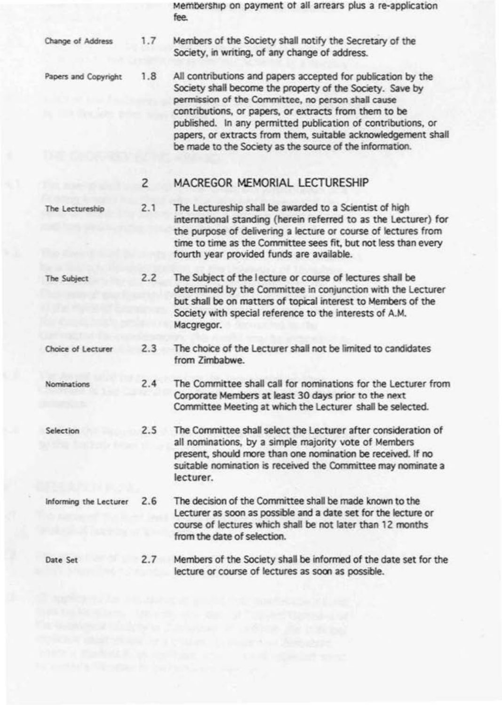Membership on payment of all arrears plus a re-application fee.

- Members of the Society shall notify the Secretary of the  $1.7$ Change of Address Society, in writing, of any change of address.
- All contributions and papers accepted for publication by the 1.8 Papers and Copyright Society shall become the property of the Society. Save by permission of the Committee, no person shall cause contributions, or papers, or extracts from them to be published. In any permitted publication of contributions, or papers, or extracts from them, suitable acknowledgement shall be made to the Society as the source of the information.

#### $\overline{c}$ MACREGOR MEMORIAL LECTURESHIP

- $2.1$ The Lectureship shall be awarded to a Scientist of high The Lectureship international standing (herein referred to as the Lecturer) for the purpose of delivering a lecture or course of lectures from time to time as the Committee sees fit, but not less than every fourth year provided funds are available.
- $2.2$ The Subject of the lecture or course of lectures shall be The Subject determined by the Committee in conjunction with the Lecturer but shall be on matters of topical interest to Members of the Society with special reference to the interests of A.M. Macgregor.
- $2.3$ The choice of the Lecturer shall not be limited to candidates Choice of Lecturer from Zimbabwe
	- $2.4$ The Committee shall call for nominations for the Lecturer from Corporate Members at least 30 days prior to the next Committee Meeting at which the Lecturer shall be selected.
	- The Committee shall select the Lecturer after consideration of  $2.5$ all nominations, by a simple majority vote of Members present, should more than one nomination be received. If no suitable nomination is received the Committee may nominate a lecturer.
- The decision of the Committee shall be made known to the Informing the Lecturer  $2.6$ Lecturer as soon as possible and a date set for the lecture or course of lectures which shall be not later than 12 months from the date of selection.
- Date Set

Nominations

Selection

Members of the Society shall be informed of the date set for the  $2.7$ lecture or course of lectures as soon as possible.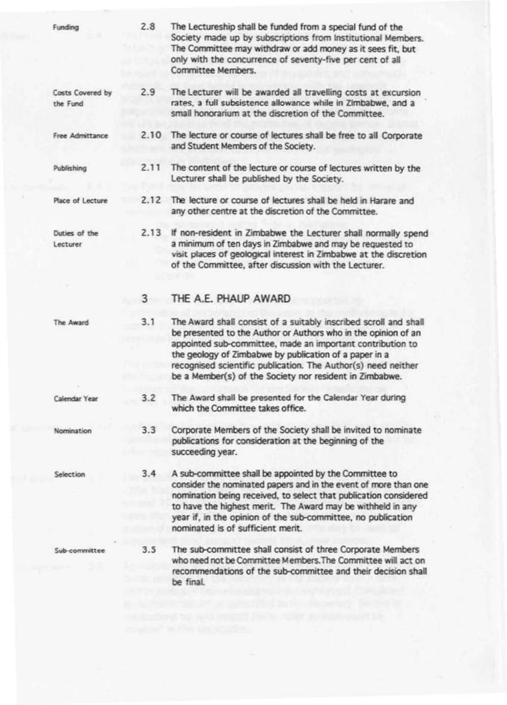| Funding                      | 2.8  | The Lectureship shall be funded from a special fund of the<br>Society made up by subscriptions from Institutional Members.<br>The Committee may withdraw or add money as it sees fit, but<br>only with the concurrence of seventy-five per cent of all<br>Committee Members.                                                                                                           |
|------------------------------|------|----------------------------------------------------------------------------------------------------------------------------------------------------------------------------------------------------------------------------------------------------------------------------------------------------------------------------------------------------------------------------------------|
| Costs Covered by<br>the Fund | 2.9  | The Lecturer will be awarded all travelling costs at excursion<br>rates, a full subsistence allowance while in Zimbabwe, and a<br>small honorarium at the discretion of the Committee.                                                                                                                                                                                                 |
| Free Admittance              | 2.10 | The lecture or course of lectures shall be free to all Corporate<br>and Student Members of the Society.                                                                                                                                                                                                                                                                                |
| Publishing                   | 2.11 | The content of the lecture or course of lectures written by the<br>Lecturer shall be published by the Society.                                                                                                                                                                                                                                                                         |
| Place of Lecture             |      | 2.12 The lecture or course of lectures shall be held in Harare and<br>any other centre at the discretion of the Committee.                                                                                                                                                                                                                                                             |
| Duties of the<br>Lecturer    | 2.13 | If non-resident in Zimbabwe the Lecturer shall normally spend<br>a minimum of ten days in Zimbabwe and may be requested to<br>visit places of geological interest in Zimbabwe at the discretion<br>of the Committee, after discussion with the Lecturer.                                                                                                                               |
|                              |      |                                                                                                                                                                                                                                                                                                                                                                                        |
|                              | 3    | THE A.E. PHAUP AWARD                                                                                                                                                                                                                                                                                                                                                                   |
| The Award                    | 3.1  | The Award shall consist of a suitably inscribed scroll and shall<br>be presented to the Author or Authors who in the opinion of an<br>appointed sub-committee, made an important contribution to<br>the geology of Zimbabwe by publication of a paper in a<br>recognised scientific publication. The Author(s) need neither<br>be a Member(s) of the Society nor resident in Zimbabwe. |
| Calendar Year                | 3.2  | The Award shall be presented for the Calendar Year during<br>which the Committee takes office.                                                                                                                                                                                                                                                                                         |
| Nomination                   | 3.3  | Corporate Members of the Society shall be invited to nominate<br>publications for consideration at the beginning of the<br>succeeding year.                                                                                                                                                                                                                                            |
| Selection                    | 3.4  | A sub-committee shall be appointed by the Committee to<br>consider the nominated papers and in the event of more than one<br>nomination being received, to select that publication considered<br>to have the highest merit. The Award may be withheld in any<br>year if, in the opinion of the sub-committee, no publication<br>nominated is of sufficient merit.                      |
| Sub-committee                | 3.5  | The sub-committee shall consist of three Corporate Members<br>who need not be Committee Members. The Committee will act on<br>recommendations of the sub-committee and their decision shall<br>be final.                                                                                                                                                                               |
|                              |      |                                                                                                                                                                                                                                                                                                                                                                                        |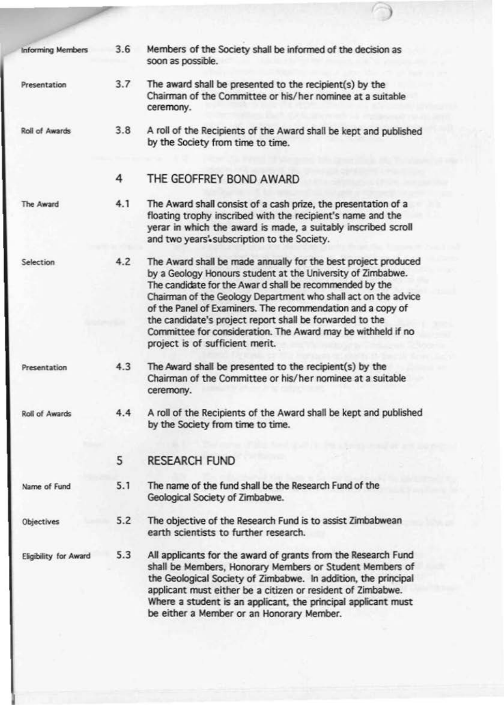| <b>Informing Members</b> | 3.6 | Members of the Society shall be informed of the decision as<br>soon as possible.                                                                                                                                                                                                                                                                                                                                                                                                          |
|--------------------------|-----|-------------------------------------------------------------------------------------------------------------------------------------------------------------------------------------------------------------------------------------------------------------------------------------------------------------------------------------------------------------------------------------------------------------------------------------------------------------------------------------------|
| Presentation             | 3.7 | The award shall be presented to the recipient(s) by the<br>Chairman of the Committee or his/her nominee at a suitable<br>ceremony.                                                                                                                                                                                                                                                                                                                                                        |
| Roll of Awards           | 3.8 | A roll of the Recipients of the Award shall be kept and published<br>by the Society from time to time.                                                                                                                                                                                                                                                                                                                                                                                    |
|                          | 4   | THE GEOFFREY BOND AWARD.                                                                                                                                                                                                                                                                                                                                                                                                                                                                  |
| The Award                | 4.1 | The Award shall consist of a cash prize, the presentation of a<br>floating trophy inscribed with the recipient's name and the<br>yerar in which the award is made, a suitably inscribed scroll<br>and two years' subscription to the Society.                                                                                                                                                                                                                                             |
| Selection                | 4.2 | The Award shall be made annually for the best project produced<br>by a Geology Honours student at the University of Zimbabwe.<br>The candidate for the Awar d shall be recommended by the<br>Chairman of the Geology Department who shall act on the advice<br>of the Panel of Examiners. The recommendation and a copy of<br>the candidate's project report shall be forwarded to the<br>Committee for consideration. The Award may be withheld if no<br>project is of sufficient merit. |
| Presentation             | 4.3 | The Award shall be presented to the recipient(s) by the<br>Chairman of the Committee or his/her nominee at a suitable<br>ceremony.                                                                                                                                                                                                                                                                                                                                                        |
| Roll of Awards           | 4.4 | A roll of the Recipients of the Award shall be kept and published<br>by the Society from time to time.                                                                                                                                                                                                                                                                                                                                                                                    |
|                          | 5   | <b>RESEARCH FUND</b>                                                                                                                                                                                                                                                                                                                                                                                                                                                                      |
| Name of Fund             | 5.1 | The name of the fund shall be the Research Fund of the<br>Geological Society of Zimbabwe.                                                                                                                                                                                                                                                                                                                                                                                                 |
| Objectives               | 5.2 | The objective of the Research Fund is to assist Zimbabwean<br>earth scientists to further research.                                                                                                                                                                                                                                                                                                                                                                                       |
| Eligibility for Award    | 5.3 | All applicants for the award of grants from the Research Fund<br>shall be Members, Honorary Members or Student Members of<br>the Geological Society of Zimbabwe. In addition, the principal<br>applicant must either be a citizen or resident of Zimbabwe.<br>Where a student is an applicant, the principal applicant must<br>be either a Member or an Honorary Member.                                                                                                                  |

 $\bigcirc$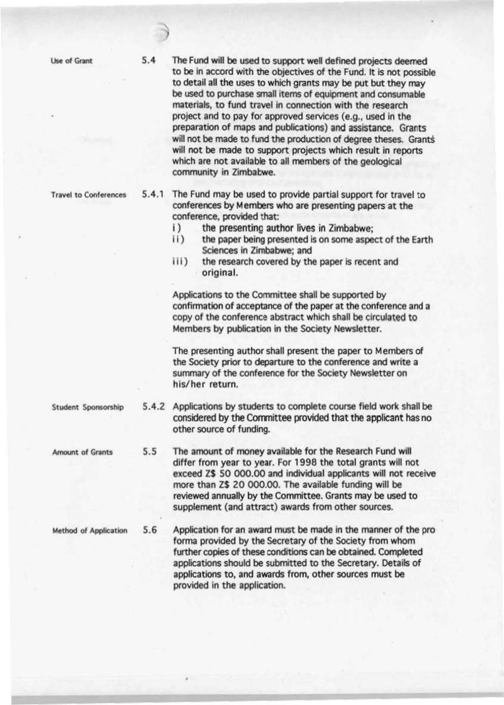Use of Grant 5.4 The Fund will be used to support well defined projects deemed to be in accord with the objectives of the Fund. It is not possible to detail all the uses to which grants may be put but they may be used to purchase small items of equipment and consumable materials, to fund travel in connection with the research project and to pay for approved services (e.g., used in the preparation of maps and publications) and assistance. Grants will not be made to fund the production of degree theses. Grants will not be made to support projects which result in reports which are not available to all members of the geological community in Zimbabwe.

Travel to Conferences 5 .4 .1 The Fund may be used to provide partial support for travel to conferences by Members who are presenting papers at the conference, provided that:

- i ) the presenting author lives in Zimbabwe;
- ii) the paper being presented is on some aspect of the Earth Sciences in Zimbabwe; and
- iii) the research covered by the paper is recent and original.

Applications to the Committee shall be supported by confirmation of acceptance of the paper at the conference and a copy of the conference abstract which shall be circulated to Members by publication in the Society Newsletter.

The presenting author shall present the paper to Members of the Society prior to departune to the conference and write a summary of the conference for the Society Newsletter on his/her return.

Student Sponsorship 5.4 .2 Applications by students to complete course field work shall be considered by the Committee provided that the applicant has no other source of funding.

Amount of Grants 5.5 The amount of money available for the Research Fund will differ from year to year. For 1 998 the total grants will not exceed ZS SO 000.00 and individual applicants will not receive more than ZS 20 000.00. The available funding will be reviewed annually by the Committee. Grants may be used to supplement (and attract) awards from other sources.

Method of Application 5.6 Application for an award must be made in the manner of the pro forma provided by the Secretary of the Society from whom further copies of these conditions can be obtained. Completed applications should be submitted to the Secretary. Details of applications to, and awards from, other sources must be provided in the application.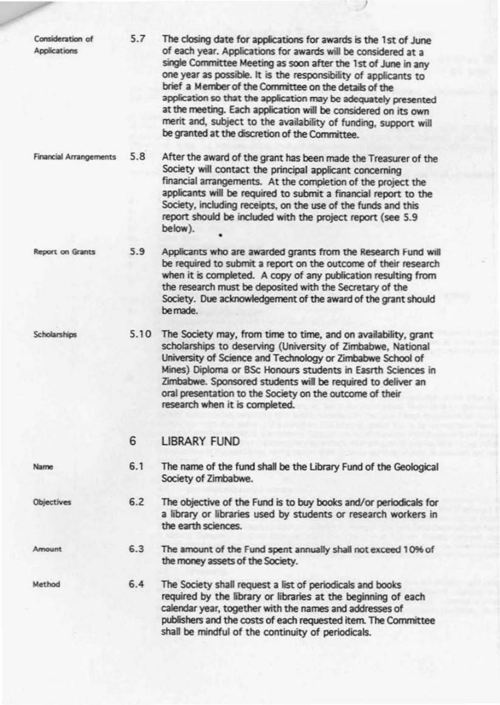| Consideration of<br>Applications | 5.7  | The closing date for applications for awards is the 1st of June<br>of each year. Applications for awards will be considered at a<br>single Committee Meeting as soon after the 1st of June in any<br>one year as possible. It is the responsibility of applicants to<br>brief a Member of the Committee on the details of the<br>application so that the application may be adequately presented<br>at the meeting. Each application will be considered on its own<br>merit and, subject to the availability of funding, support will<br>be granted at the discretion of the Committee. |
|----------------------------------|------|-----------------------------------------------------------------------------------------------------------------------------------------------------------------------------------------------------------------------------------------------------------------------------------------------------------------------------------------------------------------------------------------------------------------------------------------------------------------------------------------------------------------------------------------------------------------------------------------|
| <b>Financial Arrangements</b>    | 5.8  | After the award of the grant has been made the Treasurer of the<br>Society will contact the principal applicant concerning<br>financial arrangements. At the completion of the project the<br>applicants will be required to submit a financial report to the<br>Society, including receipts, on the use of the funds and this<br>report should be included with the project report (see 5.9<br>below).                                                                                                                                                                                 |
| <b>Report on Grants</b>          | 5.9  | Applicants who are awarded grants from the Research Fund will<br>be required to submit a report on the outcome of their research<br>when it is completed. A copy of any publication resulting from<br>the research must be deposited with the Secretary of the<br>Society. Due acknowledgement of the award of the grant should<br>be made.                                                                                                                                                                                                                                             |
| Scholarships                     | 5.10 | The Society may, from time to time, and on availability, grant<br>scholarships to deserving (University of Zimbabwe, National<br>University of Science and Technology or Zimbabwe School of<br>Mines) Diploma or BSc Honours students in Easrth Sciences in<br>Zimbabwe. Sponsored students will be required to deliver an<br>oral presentation to the Society on the outcome of their<br>research when it is completed.                                                                                                                                                                |
|                                  | 6    | <b>LIBRARY FUND</b>                                                                                                                                                                                                                                                                                                                                                                                                                                                                                                                                                                     |
| Name                             | 6.1  | The name of the fund shall be the Library Fund of the Geological<br>Society of Zimbabwe.                                                                                                                                                                                                                                                                                                                                                                                                                                                                                                |
| <b>Objectives</b>                | 6.2  | The objective of the Fund is to buy books and/or periodicals for<br>a library or libraries used by students or research workers in<br>the earth sciences.                                                                                                                                                                                                                                                                                                                                                                                                                               |
| Amount                           | 6.3  | The amount of the Fund spent annually shall not exceed 10% of<br>the money assets of the Society.                                                                                                                                                                                                                                                                                                                                                                                                                                                                                       |
| Method                           | 6.4  | The Society shall request a list of periodicals and books<br>required by the library or libraries at the beginning of each<br>calendar year, together with the names and addresses of<br>publishers and the costs of each requested item. The Committee<br>shall be mindful of the continuity of periodicals.                                                                                                                                                                                                                                                                           |